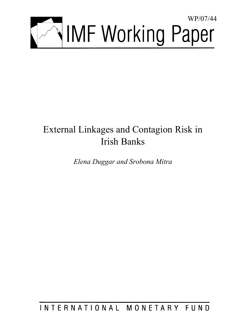

# External Linkages and Contagion Risk in Irish Banks

*Elena Duggar and Srobona Mitra* 

INTERNATIONAL MONETARY FUND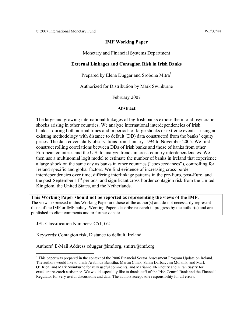#### **IMF Working Paper**

Monetary and Financial Systems Department

#### **External Linkages and Contagion Risk in Irish Banks**

Prepared by Elena Duggar and Srobona Mitra $^1$ 

Authorized for Distribution by Mark Swinburne

February 2007

#### **Abstract**

The large and growing international linkages of big Irish banks expose them to idiosyncratic shocks arising in other countries. We analyze international interdependencies of Irish banks—during both normal times and in periods of large shocks or extreme events—using an existing methodology with distance to default (DD) data constructed from the banks' equity prices. The data covers daily observations from January 1994 to November 2005. We first construct rolling correlations between DDs of Irish banks and those of banks from other European countries and the U.S. to analyze trends in cross-country interdependencies. We then use a multinomial logit model to estimate the number of banks in Ireland that experience a large shock on the same day as banks in other countries ("coexceedances"), controlling for Ireland-specific and global factors. We find evidence of increasing cross-border interdependencies over time; differing interlinkage patterns in the pre-Euro, post-Euro, and the post-September  $11<sup>th</sup>$  periods; and significant cross-border contagion risk from the United Kingdom, the United States, and the Netherlands.

**This Working Paper should not be reported as representing the views of the IMF.**

The views expressed in this Working Paper are those of the author(s) and do not necessarily represent those of the IMF or IMF policy. Working Papers describe research in progress by the author(s) and are published to elicit comments and to further debate.

JEL Classification Numbers: C51, G21

 $\overline{a}$ 

Keywords: Contagion risk, Distance to default, Ireland

Authors' E-Mail Address: eduggar@imf.org, smitra@imf.org

<sup>&</sup>lt;sup>1</sup> This paper was prepared in the context of the 2006 Financial Sector Assessment Program Update on Ireland. The authors would like to thank Arabinda Basistha, Martin Cihak, Salim Darbar, Jim Morsink, and Mark O'Brien, and Mark Swinburne for very useful comments, and Marianne El-Khoury and Kiran Sastry for excellent research assistance. We would especially like to thank staff of the Irish Central Bank and the Financial Regulator for very useful discussions and data. The authors accept sole responsibility for all errors.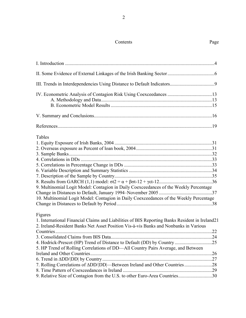## Contents Page

| Tables<br>9. Multinomial Logit Model: Contagion in Daily Coexceedances of the Weekly Percentage<br>10. Multinomial Logit Model: Contagion in Daily Coexceedances of the Weekly Percentage                                                                 |
|-----------------------------------------------------------------------------------------------------------------------------------------------------------------------------------------------------------------------------------------------------------|
| Figures<br>1. International Financial Claims and Liabilities of BIS Reporting Banks Resident in Ireland21<br>2. Ireland-Resident Banks Net Asset Position Vis-à-vis Banks and Nonbanks in Various<br>3. Consolidated Claims from BIS Data.<br>$\dots$ .24 |
| 5. HP Trend of Rolling Correlations of DD-All Country Pairs Average, and Between<br>9. Relative Size of Contagion from the U.S. to other Euro-Area Countries30                                                                                            |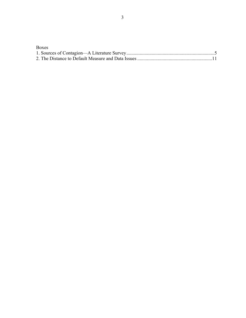| <b>Boxes</b> |  |
|--------------|--|
|              |  |
|              |  |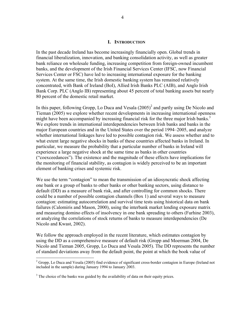#### **I. INTRODUCTION**

In the past decade Ireland has become increasingly financially open. Global trends in financial liberalization, innovation, and banking consolidation activity, as well as greater bank reliance on wholesale funding, increasing competition from foreign-owned incumbent banks, and the development of the Irish Financial Services Center (IFSC, now Financial Services Center or FSC) have led to increasing international exposure for the banking system. At the same time, the Irish domestic banking system has remained relatively concentrated, with Bank of Ireland (BoI), Allied Irish Banks PLC (AIB), and Anglo Irish Bank Corp. PLC (Anglo IB) representing about 45 percent of total banking assets but nearly 80 percent of the domestic retail market.

In this paper, following Gropp, Lo Duca and Vesala  $(2005)^2$  and partly using De Nicolo and Tieman (2005) we explore whether recent developments in increasing international openness might have been accompanied by increasing financial risk for the three major Irish banks.<sup>3</sup> We explore trends in international interdependencies between Irish banks and banks in the major European countries and in the United States over the period 1994–2005, and analyze whether international linkages have led to possible contagion risk. We assess whether and to what extent large negative shocks in banks of these countries affected banks in Ireland. In particular, we measure the probability that a particular number of banks in Ireland will experience a large negative shock at the same time as banks in other countries ("coexceedances"). The existence and the magnitude of these effects have implications for the monitoring of financial stability, as contagion is widely perceived to be an important element of banking crises and systemic risk.

We use the term "contagion" to mean the transmission of an idiosyncratic shock affecting one bank or a group of banks to other banks or other banking sectors, using distance to default (DD) as a measure of bank risk, and after controlling for common shocks. There could be a number of possible contagion channels (Box 1) and several ways to measure contagion: estimating autocorrelation and survival time tests using historical data on bank failures (Calomiris and Mason, 2000), using the interbank market lending exposure matrix and measuring domino effects of insolvency in one bank spreading to others (Furhine 2003), or analyzing the correlations of stock returns of banks to measure interdependencies (De Nicolo and Kwast, 2002).

We follow the approach employed in the recent literature, which estimates contagion by using the DD as a comprehensive measure of default risk (Gropp and Moerman 2004, De Nicolo and Tieman 2005, Gropp, Lo Duca and Vesala 2005). The DD represents the number of standard deviations away from the default point, the point at which the book value of

<u>.</u>

 $2^2$  Gropp, Lo Duca and Vesala (2005) find evidence of significant cross-border contagion in Europe (Ireland not included in the sample) during January 1994 to January 2003.

 $3$  The choice of the banks was guided by the availability of data on their equity prices.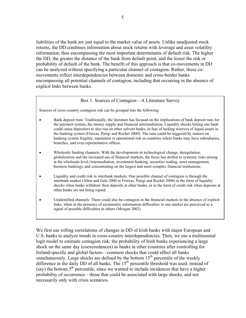liabilities of the bank are just equal to the market value of assets. Unlike unadjusted stock returns, the DD combines information about stock returns with leverage and asset volatility information, thus encompassing the most important determinants of default risk. The higher the DD, the greater the distance of the bank from default point, and the lesser the risk or probability of default of the bank. The benefit of this approach is that co-movements in DD can be analyzed without specifying a particular channel of contagion. Rather, these comovements reflect interdependencies between domestic and cross-border banks encompassing all potential channels of contagion, including that occurring in the absence of explicit links between banks.

#### Box 1. Sources of Contagion—A Literature Survey

Sources of cross-country contagion risk can be grouped into the following:

- Bank deposit runs: Traditionally, the literature has focused on the implications of bank deposit runs for the payment system, the money supply and financial intermediation. Liquidity shocks hitting one bank could cause depositors to also run on other solvent banks, in fear of lacking reserves of liquid assets in the banking system (Freixas, Parigi and Rochet 2000). The runs could be triggered by rumors on banking system fragility, reputation or operational risk in countries where banks may have subsidiaries, branches, and even representative offices.
- Wholesale funding channels: With the developments in technological change, deregulation, globalization and the increased use of financial markets, the focus has shifted to systemic risks arising at the wholesale level (intermediation, investment banking, securities trading, asset management, business banking), and concentrating on the largest and most complex financial institutions.
- Liquidity and credit risk in interbank markets: One possible channel of contagion is through the interbank market (Allen and Gale 2000 or Freixas, Parigi and Rochet 2000) in the form of liquidity shocks when banks withdraw their deposits at other banks, or in the form of credit risk when deposits at other banks are not being repaid.
- Unidentified channels: There could also be contagion in the financial markets in the absence of explicit links, when in the presence of asymmetric information difficulties in one market are perceived as a signal of possible difficulties in others (Morgan 2002).

We first use rolling correlations of changes in DD of Irish banks with major European and U.S. banks to analyze trends in cross-country interdependencies. Then, we use a multinomial logit model to estimate contagion risk: the probability of Irish banks experiencing a large shock on the same day (coexceedances) as banks in other countries after controlling for Ireland-specific and global factors—common shocks that could affect all banks simultaneously. Large shocks are defined by the bottom  $15<sup>th</sup>$  percentile of the weekly difference in the daily DD of all banks. The  $15<sup>th</sup>$  percentile threshold was used, instead of (say) the bottom  $5<sup>th</sup>$  percentile, since we wanted to include incidences that have a higher probability of occurrence—those that could be associated with large shocks, and not necessarily only with crisis scenarios.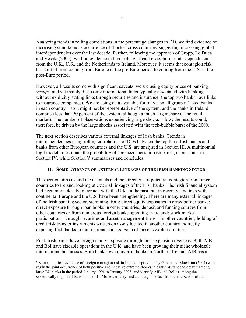Analyzing trends in rolling correlations in the percentage changes in DD, we find evidence of increasing simultaneous occurrence of shocks across countries, suggesting increasing global interdependencies over the last decade. Further, following the approach of Gropp, Lo Duca and Vesala (2005), we find evidence in favor of significant cross-border interdependencies from the U.K., U.S., and the Netherlands to Ireland. Moreover, it seems that contagion risk has shifted from coming from Europe in the pre-Euro period to coming from the U.S. in the post-Euro period.

However, all results come with significant caveats: we are using equity prices of banking *groups*, and yet mainly discussing international links typically associated with banking without explicitly stating links through securities and insurance (the top two banks have links to insurance companies). We are using data available for only a small group of listed banks in each country—so it might not be representative of the system, and the banks in Ireland comprise less than 50 percent of the system (although a much larger share of the retail market). The number of observations experiencing large shocks is low; the results could, therefore, be driven by the large shocks associated with the tech-bubble burst of the 2000.

The next section describes various external linkages of Irish banks. Trends in interdependencies using rolling correlations of DDs between the top three Irish banks and banks from other European countries and the U.S. are analyzed in Section III. A multinomial logit model, to estimate the probability of coexceedances in Irish banks, is presented in Section IV, while Section V summarizes and concludes.

#### **II. SOME EVIDENCE OF EXTERNAL LINKAGES OF THE IRISH BANKING SECTOR**

This section aims to find the channels and the directions of potential contagion from other countries to Ireland, looking at external linkages of the Irish banks. The Irish financial system had been more closely integrated with the U.K. in the past, but in recent years links with continental Europe and the U.S. have been strengthening. There are many external linkages of the Irish banking sector, stemming from: direct equity exposures in cross-border banks; direct exposure through loan books in other countries; deposit and funding sources from other countries or from numerous foreign banks operating in Ireland; stock market participation—through securities and asset management firms—in other countries; holding of credit risk transfer instruments written on assets located in another country indirectly exposing Irish banks to international shocks. Each of these is explored in turn.<sup>4</sup>

First, Irish banks have foreign equity exposure through their expansion overseas. Both AIB and BoI have sizeable operations in the U.K. and have been growing their niche wholesale international businesses. Both banks own universal banks in Northern Ireland. AIB has a

<sup>1</sup> <sup>4</sup> Some empirical evidence of foreign contagion risk in Ireland is provided by Gropp and Moerman (2004) who study the joint occurrence of both positive and negative extreme shocks in banks' distance to default among large EU banks in the period January 1991 to January 2003, and identify AIB and BoI as among the systemically important banks in the EU. Moreover, they find a contagion effect from the U.K. to Ireland.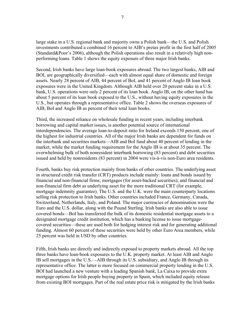large stake in a U.S. regional bank and majority owns a Polish bank—the U.S. and Polish investments contributed a combined 16 percent to AIB's pretax profit in the first half of 2005 (Standard&Poor's 2006), although the Polish operations also result in a relatively high nonperforming loans. Table 1 shows the equity exposure of three major Irish banks.

Second, Irish banks have large loan-book exposures abroad. The two largest banks, AIB and BOI, are geographically diversified—each with almost equal share of domestic and foreign assets. Nearly 28 percent of AIB, 44 percent of BoI, and 41 percent of Anglo IB loan book exposures were in the United Kingdom. Although AIB held over 20 percent stake in a U.S. bank, U.S. operations were only 2 percent of its loan book. Anglo IB, on the other hand has about 5 percent of its loan book exposed to the U.S., without having equity exposures in the U.S., but operates through a representative office. Table 2 shows the overseas exposures of AIB, BoI and Anglo IB as percent of their total loan books.

Third, the increased reliance on wholesale funding in recent years, including interbank borrowing and capital market issues, is another potential source of international interdependencies. The average loan-to-deposit ratio for Ireland exceeds 150 percent, one of the highest for industrial countries. All of the major Irish banks are dependent for funds on the interbank and securities markets—AIB and BoI fund about 40 percent of lending in the market, while the market funding requirement for the Anglo IB is at about 35 percent. The overwhelming bulk of both nonresident interbank borrowing (83 percent) and debt securities issued and held by nonresidents (83 percent) in 2004 were vis-à-vis non-Euro area residents.

Fourth, banks buy risk protection mainly from banks of other countries. The underlying asset in structured credit risk transfer (CRT) products include mainly: loans and bonds issued by financial and non-financial firms; mortgages (for asset-backed securities); and financial and non-financial firm debt as underlying asset for the more traditional CRT (for example, mortgage indemnity guarantee). The U.S. and the U.K. were the main counterparty locations selling risk protection to Irish banks. Other countries included France, Germany, Canada, Switzerland, Netherlands, Italy, and Poland. The major currencies of denomination were the Euro and the U.S. dollar, along with the Pound Sterling. Irish banks are also able to issue covered bonds—BoI has transferred the bulk of its domestic residential mortgage assets to a designated mortgage credit institution, which has a banking license to issue mortgagecovered securities—these are used both for hedging interest risk and for generating additional funding. Almost 60 percent of these securities were held by other Euro Area members, while 25 percent was held in USD by other countries.

Fifth, Irish banks are directly and indirectly exposed to property markets abroad. All the top three banks have loan-book exposures to the U.K. property market. At least AIB and Anglo IB sell mortgages in the U.S.—AIB through its U.S. subsidiary, and Anglo IB through its representative office. The latter is more focused on commercial property lending in the U.S. BOI had launched a new venture with a leading Spanish bank, La Caixa to provide extra mortgage options for Irish people buying property in Spain, which included equity release from existing BOI mortgages. Part of the real estate price risk is mitigated by the Irish banks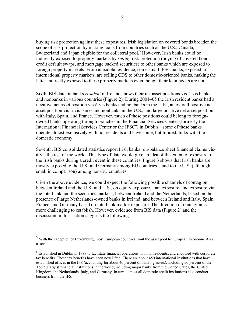buying risk protection against these exposures. Irish legislation on covered bonds broaden the scope of risk protection by making loans from countries such as the U.S., Canada, Switzerland and Japan eligible for the collateral pool.<sup>5</sup> However, Irish banks could be indirectly exposed to property markets by *selling* risk protection (buying of covered bonds, credit default swaps, and mortgage backed securities) to other banks which are exposed to foreign property markets. From anecdotal evidence, some small IFSC banks, exposed to international property markets, are selling CDS to other domestic-oriented banks, making the latter indirectly exposed to these property markets even though their loan books are not.

Sixth, BIS data on banks *resident* in Ireland shows their net asset positions vis-à-vis banks and nonbanks in various countries (Figure 2). During 2001–05 the Irish resident banks had a negative net asset position vis-à-vis banks and nonbanks in the U.K., an overall positive net asset position vis-à-vis banks and nonbanks in the U.S., and large positive net asset position with Italy, Spain, and France. However, much of these positions could belong to foreignowned banks operating through branches in the Financial Services Center (formerly the International Financial Services Center or the  $\text{IFSC}^6$ ) in Dublin—some of these banks operate almost exclusively with nonresidents and have some, but limited, links with the domestic economy.

Seventh, BIS consolidated statistics report Irish banks' on-balance sheet financial claims visà-vis the rest of the world. This type of data would give an idea of the extent of exposure of the Irish banks during a credit event in these countries. Figure 3 shows that Irish banks are mostly exposed to the U.K. and Germany among EU countries—and to the U.S. (although small in comparison) among non-EU countries.

Given the above evidence, we could expect the following possible channels of contagion: between Ireland and the U.K. and U.S., on equity exposure, loan exposure, and exposure via the interbank and the securities markets; between Ireland and the Netherlands, based on the presence of large Netherlands-owned banks in Ireland; and between Ireland and Italy, Spain, France, and Germany based on interbank market exposure. The direction of contagion is more challenging to establish. However, evidence from BIS data (Figure 2) and the discussion in this section suggests the following:

1

 $<sup>5</sup>$  With the exception of Luxemburg, most European countries limit the asset pool to European Economic Area</sup> assets.

<sup>&</sup>lt;sup>6</sup> Established in Dublin in 1987 to facilitate financial operations with nonresidents, and endowed with corporate tax benefits. These tax benefits have been now lifted. There are about 450 international institutions that have established offices in the IFS (accounting for about 40 percent of banking assets), including 50 percent of the Top 50 largest financial institutions in the world, including major banks from the United States, the United Kingdom, the Netherlands, Italy, and Germany. In turn, almost all domestic credit institutions also conduct business from the IFS.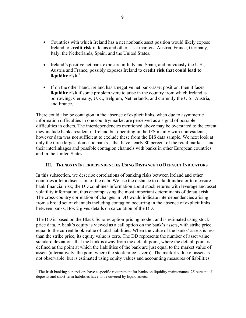- Countries with which Ireland has a net nonbank asset position would likely expose Ireland to **credit risk** in loans and other asset markets: Austria, France, Germany, Italy, the Netherlands, Spain, and the United States.
- Ireland's positive net bank exposure in Italy and Spain, and previously the U.S., Austria and France, possibly exposes Ireland to **credit risk that could lead to liquidity risk**. 7
- If on the other hand, Ireland has a negative net bank-asset position, then it faces **liquidity risk** if some problem were to arise in the country from which Ireland is borrowing: Germany, U.K., Belgium, Netherlands, and currently the U.S., Austria, and France.

There could also be contagion in the absence of explicit links, when due to asymmetric information difficulties in one country/market are perceived as a signal of possible difficulties in others. The interdependencies mentioned above may be overstated to the extent they include banks resident in Ireland but operating in the IFS mainly with nonresidents; however data was not sufficient to exclude these from the BIS data sample. We next look at only the three largest domestic banks—that have nearly 80 percent of the retail market—and their interlinkages and possible contagion channels with banks in other European countries and in the United States.

#### **III. TRENDS IN INTERDEPENDENCIES USING DISTANCE TO DEFAULT INDICATORS**

In this subsection, we describe correlations of banking risks between Ireland and other countries after a discussion of the data. We use the distance to default indicator to measure bank financial risk; the DD combines information about stock returns with leverage and asset volatility information, thus encompassing the most important determinants of default risk. The cross-country correlation of changes in DD would indicate interdependencies arising from a broad set of channels including contagion occurring in the absence of explicit links between banks. Box 2 gives details on calculation of the DD.

The DD is based on the Black-Scholes option-pricing model, and is estimated using stock price data. A bank's equity is viewed as a call option on the bank's assets, with strike price equal to the current book value of total liabilities. When the value of the banks' assets is less than the strike price, its equity value is zero. The DD represents the number of asset value standard deviations that the bank is away from the default point, where the default point is defined as the point at which the liabilities of the bank are just equal to the market value of assets (alternatively, the point where the stock price is zero). The market value of assets is not observable, but is estimated using equity values and accounting measures of liabilities.

<sup>1</sup>  $<sup>7</sup>$  The Irish banking supervisors have a specific requirement for banks on liquidity maintenance: 25 percent of</sup> deposits and short-term liabilities have to be covered by liquid assets.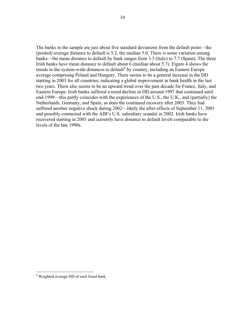The banks in the sample are just about five standard deviations from the default point—the (pooled) average distance to default is 5.2, the median 5.0. There is some variation among banks—the mean distance to default by bank ranges from 3.3 (Italy) to 7.7 (Spain). The three Irish banks have mean distance to default about 6 (median about 5.7). Figure 4 shows the trends in the system-wide distances to default<sup>8</sup> by country, including an Eastern Europe average comprising Poland and Hungary. There seems to be a general increase in the DD starting in 2003 for all countries, indicating a global improvement in bank health in the last two years. There also seems to be an upward trend over the past decade for France, Italy, and Eastern Europe. Irish banks suffered a trend decline in DD around 1997 that continued until end-1999—this partly coincides with the experiences of the U.S., the U.K., and (partially) the Netherlands, Germany, and Spain, as does the continued recovery after 2003. They had suffered another negative shock during 2002—likely the after-effects of September 11, 2001 and possibly connected with the AIB's U.S. subsidiary scandal in 2002. Irish banks have recovered starting in 2003 and currently have distance to default levels comparable to the levels of the late 1990s.

<sup>&</sup>lt;sup>8</sup> Weighted average DD of each listed bank.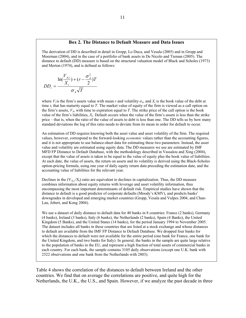#### **Box 2. The Distance to Default Measure and Data Issues**

The derivation of DD is described in detail in Gropp, Lo Duca, and Vesala (2005) and in Gropp and Moerman (2004), and in the case of a portfolio of bank assets in De Nicolo and Tieman (2005). The distance to default (DD) measure is based on the structural valuation model of Black and Scholes (1973) and Merton (1974), and is defined as follows:

$$
DD_t = \frac{\ln(\frac{V_{A,t}}{X_t}) + (r - \frac{\sigma_A^2}{2})T}{\sigma_A \sqrt{T}}
$$

where  $V_t$  is the firm's assets value with mean r and volatility  $\sigma_A$ , and  $X_t$  is the book value of the debt at time *t*, that has maturity equal to *T*. The market value of equity of the firm is viewed as a call option on the firm's assets,  $V_A$ , with time to expiration equal to  $T$ . The strike price of the call option is the book value of the firm's liabilities, *Xt*. Default occurs when the value of the firm's assets is less than the strike price – that is, when the ratio of the value of assets to debt is less than one. The DD tells us by how many standard deviations the log of this ratio needs to deviate from its mean in order for default to occur.

An estimation of DD requires knowing both the asset value and asset volatility of the firm. The required values, however, correspond to the forward-looking *economic* values rather than the accounting figures, and it is not appropriate to use balance-sheet data for estimating these two parameters. Instead, the asset value and volatility are estimated using equity data. The DD measures we use are estimated by IMF MFD FP Distance to Default Database, with the methodology described in Vassalou and Xing (2004), except that the value of assets is taken to be equal to the value of equity plus the book value of liabilities. At each date, the value of assets, the return on assets and its volatility is derived using the Black-Scholes option-pricing formula, using one year of daily equity return data preceding the estimation date, and the accounting value of liabilities for the relevant year.

Declines in the  $(V_{A,t}/X_t)$  ratio are equivalent to declines in capitalization. Thus, the DD measure combines information about equity returns with leverage and asset volatility information, thus encompassing the most important determinants of default risk. Empirical studies have shown that the distance to default is a good predictor of corporate defaults (Moody's KMV), and predicts banks' downgrades in developed and emerging market countries (Gropp, Vesala and Vulpes 2004, and Chan-Lau, Jobert, and Kong 2004).

We use a dataset of daily distance to default data for 40 banks in 8 countries: France (2 banks), Germany (4 banks), Ireland (3 banks), Italy (6 banks), the Netherlands (2 banks), Spain (4 Banks), the United Kingdom (5 Banks), and the United States (14 banks), for the period January 1994 to November 2005. The dataset includes all banks in these countries that are listed at a stock exchange and whose distances to default are available from the IMF FP Distance to Default Database. We dropped four banks for which the distances to default were not available for the entire period (one bank for France, one bank for the United Kingdom, and two banks for Italy). In general, the banks in the sample are quite large relative to the population of banks in the EU, and represent a high fraction of total assets of commercial banks in each country. For each bank, the sample contains 3105 daily observations (except one U.K. bank with 2522 observations and one bank from the Netherlands with 2803).

Table 4 shows the correlation of the distances to default between Ireland and the other countries. We find that on average the correlations are positive, and quite high for the Netherlands, the U.K., the U.S., and Spain. However, if we analyze the past decade in three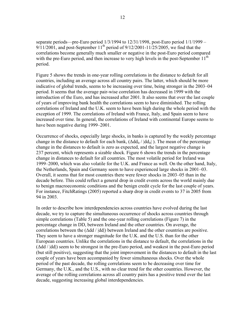separate periods—pre-Euro period 1/3/1994 to 12/31/1998, post-Euro period 1/1/1999 –  $9/11/2001$ , and post-September 11<sup>th</sup> period of  $9/12/2001-11/25/2005$ , we find that the correlations become generally much smaller or negative in the post-Euro period compared with the pre-Euro period, and then increase to very high levels in the post-September  $11<sup>th</sup>$ period.

Figure 5 shows the trends in one-year rolling correlations in the distance to default for all countries, including an average across all country pairs. The latter, which should be more indicative of global trends, seems to be increasing over time, being stronger in the 2003–04 period. It seems that the average pair-wise correlation has decreased in 1999 with the introduction of the Euro, and has increased after 2001. It also seems that over the last couple of years of improving bank health the correlations seem to have diminished. The rolling correlations of Ireland and the U.K. seem to have been high during the whole period with the exception of 1999. The correlations of Ireland with France, Italy, and Spain seem to have increased over time. In general, the correlations of Ireland with continental Europe seems to have been negative during 1999–2001.

Occurrence of shocks, especially large shocks, in banks is captured by the weekly percentage change in the distance to default for each bank,  $(\Delta dd_{it} / |dd_{it}|)$ . The mean of the percentage change in the distances to default is zero as expected, and the largest negative change is 237 percent, which represents a sizable shock. Figure 6 shows the trends in the percentage change in distances to default for all countries. The most volatile period for Ireland was 1999–2000, which was also volatile for the U.K. and France as well. On the other hand, Italy, the Netherlands, Spain and Germany seem to have experienced large shocks in 2001–03. Overall, it seems that for most countries there were fewer shocks in 2003–05 than in the decade before. This could reflect a general drop in credit events across the world mainly due to benign macroeconomic conditions and the benign credit cycle for the last couple of years. For instance, FitchRatings (2005) reported a sharp drop in credit events to 37 in 2005 from 94 in 2003.

In order to describe how interdependencies across countries have evolved during the last decade, we try to capture the simultaneous occurrence of shocks across countries through simple correlations (Table 5) and the one-year rolling correlations (Figure 7) in the percentage change in DD, between Ireland and the other countries. On average, the correlations between the (∆dd / |dd|) between Ireland and the other countries are positive. They seem to have a stronger magnitude for the U.K. and the U.S. than for the other European countries. Unlike the correlations in the distance to default, the correlations in the (∆dd / |dd|) seem to be strongest in the pre-Euro period, and weakest in the post-Euro period (but still positive), suggesting that the joint improvement in the distances to default in the last couple of years have been accompanied by fewer simultaneous shocks. Over the whole period of the past decade, the rolling correlations seem to be decreasing over time for Germany, the U.K., and the U.S., with no clear trend for the other countries. However, the average of the rolling correlations across all country pairs has a positive trend over the last decade, suggesting increasing global interdependencies.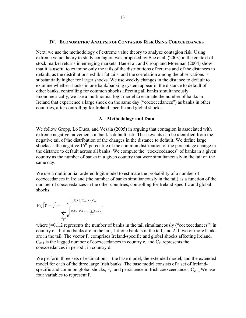#### **IV. ECONOMETRIC ANALYSIS OF CONTAGION RISK USING COEXCEEDANCES**

Next, we use the methodology of extreme value theory to analyze contagion risk. Using extreme value theory to study contagion was proposed by Bae et al. (2003) in the context of stock market returns in emerging markets. Bae et al. and Gropp and Moerman (2004) show that it is useful to examine only the tails of the distributions of returns and of the distances to default, as the distributions exhibit fat tails, and the correlation among the observations is substantially higher for larger shocks. We use weekly changes in the distance to default to examine whether shocks in one bank/banking system appear in the distance to default of other banks, controlling for common shocks affecting all banks simultaneously. Econometrically, we use a multinomial logit model to estimate the number of banks in Ireland that experience a large shock on the same day ("coexceedances") as banks in other countries, after controlling for Ireland-specific and global shocks.

#### **A. Methodology and Data**

We follow Gropp, Lo Duca, and Vesala (2005) in arguing that contagion is associated with extreme negative movements in bank's default risk. These events can be identified from the negative tail of the distribution of the changes in the distance to default. We define large shocks as the negative  $15<sup>th</sup>$  percentile of the common distribution of the percentage change in the distance to default across all banks. We compute the "coexceedances" of banks in a given country as the number of banks in a given country that were simultaneously in the tail on the same day.

We use a multinomial ordered logit model to estimate the probability of a number of coexceedances in Ireland (the number of banks simultaneously in the tail) as a function of the number of coexceedances in the other countries, controlling for Ireland-specific and global shocks:

$$
\Pr_c[Y=j] = \frac{e^{\left[\alpha_j F_c + \beta_j C_{ct-1} + \gamma_j C_{dt}\right]}}{\sum_k \left[e^{\left(\alpha_k F_c + \beta_k C_{ct-1} + \sum_{d \neq c} \gamma_{dk} C_{dt}\right)}\right]}
$$

where  $j=0,1,2$  represents the number of banks in the tail simultaneously ("coexceedances") in country c—0 if no banks are in the tail, 1 if one bank is in the tail, and 2 if two or more banks are in the tail. The vector  $F_c$  comprises Ireland-specific and global shocks affecting Ireland.  $C_{ct-1}$  is the lagged number of coexceedances in country c, and  $C_{dt}$  represents the coexceedances in period t in country d.

We perform three sets of estimations—the base model, the extended model, and the extended model for each of the three large Irish banks. The base model consists of a set of Irelandspecific and common global shocks,  $F_c$ , and persistence in Irish coexceedances,  $C_{ct-1}$ . We use four variables to represent  $F_c$ —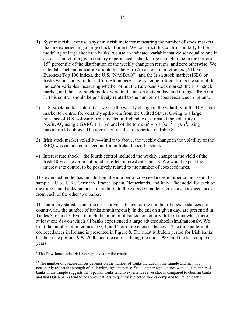- 1) Systemic risk—we use a systemic risk indicator measuring the number of stock markets that are experiencing a large shock at time t. We construct this control similarly to the modeling of large shocks in banks: we use an indicator variable that we set equal to one if a stock market of a given country experienced a shock large enough to be in the bottom 15<sup>th</sup> percentile of the distribution of the weekly change in returns, and zero otherwise. We calculate such an indicator variable for the Euro Area stock market index (N100 or Euronext Top 100 Index), the U.S. (NASDAQ<sup>9</sup>), and the Irish stock market (ISEQ or Irish Overall Index) indices, from Bloomberg. The systemic risk control is the sum of the indicator variables measuring whether or not the European stock market, the Irish stock market, and the U.S. stock market were in the tail on a given day, and it ranges from 0 to 3. This control should be positively related to the number of coexceedances in Ireland.
- 2) U.S. stock market volatility—we use the weekly change in the volatility of the U.S. stock market to control for volatility spillovers from the United States. Owing to a large presence of U.S. software firms located in Ireland, we estimated the volatility in NASDAQ using a GARCH(1,1) model of the form:  $\sigma_t^2 = \alpha + \beta \sigma_{t-1}^2 + \gamma \epsilon_{t-1}^2$ , using maximum likelihood. The regression results are reported in Table 8.
- 3) Irish stock market volatility—similar to above, the weekly change in the volatility of the ISEQ was calculated to account for an Ireland-specific shock.
- 4) Interest rate shock—the fourth control included the weekly change in the yield of the Irish 10-year government bond to reflect interest rate shocks. We would expect the interest rate control to be positively related to the number of coexceedances.

The extended model has, in addition, the number of coexceedances in other countries in the sample—U.S., U.K., Germany, France, Spain, Netherlands, and Italy. The model for each of the three main banks includes, in addition to the extended model regressors, coexceedances from each of the other two banks.

The summary statistics and the descriptive statistics for the number of coexceedances per country, i.e., the number of banks simultaneously in the tail on a given day, are presented in Tables 3, 6, and 7. Even though the number of banks per country differs somewhat, there is at least one day on which all banks experienced a large adverse shock simultaneously. We limit the number of outcomes to  $0, 1$ , and 2 or more coexceedances.<sup>10</sup> The time pattern of coexceedances in Ireland is presented in Figure 8. The most turbulent period for Irish banks has been the period 1999–2000, and the calmest being the mid-1990s and the last couple of years.

 $\overline{a}$ 

<sup>&</sup>lt;sup>9</sup> The Dow Jones Industrial Average gives similar results.

<sup>&</sup>lt;sup>10</sup> The number of coexceedances depends on the number of banks included in the sample and may not necessarily reflect the strength of the banking system per se. Still, comparing countries with equal number of banks in the sample suggests that Spanish banks tend to experience fewer shocks compared to German banks and that Dutch banks tend to be somewhat less frequently subject to shocks compared to French banks.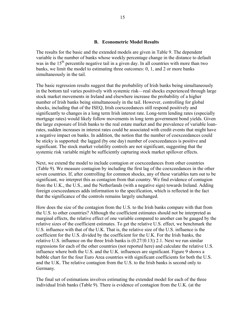#### **B. Econometric Model Results**

The results for the basic and the extended models are given in Table 9. The dependent variable is the number of banks whose weekly percentage change in the distance to default was in the  $15<sup>th</sup>$  percentile negative tail in a given day. In all countries with more than two banks, we limit the model to estimating three outcomes: 0, 1, and 2 or more banks simultaneously in the tail.

The basic regression results suggest that the probability of Irish banks being simultaneously in the bottom tail varies positively with systemic risk—real shocks experienced through large stock market movements in Ireland and elsewhere increase the probability of a higher number of Irish banks being simultaneously in the tail. However, controlling for global shocks, including that of the ISEQ, Irish coexceedances still respond positively and significantly to changes in a long term Irish interest rate. Long-term lending rates (especially mortgage rates) would likely follow movements in long term government bond yields. Given the large exposure of Irish banks to the real estate market and the prevalence of variable loanrates, sudden increases in interest rates could be associated with credit events that might have a negative impact on banks. In addition, the notion that the number of coexceedances could be sticky is supported: the lagged (by one day) number of coexceedances is positive and significant. The stock market volatility controls are not significant, suggesting that the systemic risk variable might be sufficiently capturing stock market spillover effects.

Next, we extend the model to include contagion or coexceedances from other countries (Table 9). We measure contagion by including the first lag of the coexceedances in the other seven countries. If, after controlling for common shocks, any of these variables turn out to be significant, we interpret this as contagion from that country. We find evidence of contagion from the U.K., the U.S., and the Netherlands (with a negative sign) towards Ireland. Adding foreign coexceedances adds information to the specification, which is reflected in the fact that the significance of the controls remains largely unchanged.

How does the size of the contagion from the U.S. to the Irish banks compare with that from the U.S. to other countries? Although the coefficient estimates should not be interpreted as marginal effects, the relative effect of one variable compared to another can be gauged by the relative sizes of the coefficient estimates. To get the relative U.S. effect, we benchmark the U.S. influence with that of the U.K. That is, the relative size of the U.S. influence is the coefficient for the U.S. divided by the coefficient for the U.K. For the Irish banks, the relative U.S. influence on the three Irish banks is (0.27/|0.13|) 2.1. Next we run similar regressions for each of the other countries (not reported here) and calculate the relative U.S. influence where both the U.S. and the U.K. influences are significant. Figure 9 shows a bubble chart for the four Euro Area countries with significant coefficients for both the U.S. and the U.K. The relative contagion from the U.S. to the Irish banks is second only to Germany.

The final set of estimations involves estimating the extended model for each of the three individual Irish banks (Table 9). There is evidence of contagion from the U.K. (at the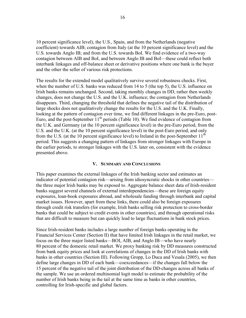10 percent significance level), the U.S., Spain, and from the Netherlands (negative coefficient) towards AIB; contagion from Italy (at the 10 percent significance level) and the U.S. towards Anglo IB; and from the U.S. towards BoI. We find evidence of a two-way contagion between AIB and BoI, and between Anglo IB and BoI—these could reflect both interbank linkages and off-balance sheet or derivative positions where one bank is the buyer and the other the seller of various risk protections.

The results for the extended model qualitatively survive several robustness checks. First, when the number of U.S. banks was reduced from 14 to 5 (the top 5), the U.S. influence on Irish banks remains unchanged. Second, taking monthly changes in DD, rather then weekly changes, does not change the U.S. and the U.K. influence; the contagion from Netherlands disappears. Third, changing the threshold that defines the negative tail of the distribution of large shocks does not qualitatively change the results for the U.S. and the U.K. Finally, looking at the pattern of contagion over time, we find different linkages in the pre-Euro, post-Euro, and the post-September  $11<sup>th</sup>$  periods (Table 10). We find evidence of contagion from the U.K. and Germany (at the 10 percent significance level) in the pre-Euro period, from the U.S. and the U.K. (at the 10 percent significance level) in the post-Euro period, and only from the U.S. (at the 10 percent significance level) to Ireland in the post-September  $11<sup>th</sup>$ period. This suggests a changing pattern of linkages from stronger linkages with Europe in the earlier periods, to stronger linkages with the U.S. later on, consistent with the evidence presented above.

#### **V. SUMMARY AND CONCLUSIONS**

This paper examines the external linkages of the Irish banking sector and estimates an indicator of potential contagion risk—arising from idiosyncratic shocks in other countries the three major Irish banks may be exposed to. Aggregate balance sheet data of Irish-resident banks suggest several channels of external interdependencies—these are foreign equity exposures, loan-book exposures abroad, and wholesale funding through interbank and capital market issues. However, apart from these links, there could also be foreign exposures through credit risk transfers (for example, Irish banks selling risk protection to cross-border banks that could be subject to credit events in other countries), and through operational risks that are difficult to measure but can quickly lead to large fluctuations in bank stock prices.

Since Irish-resident banks includes a large number of foreign banks operating in the Financial Services Center (Section II) that have limited Irish linkages in the retail market, we focus on the three major listed banks—BOI, AIB, and Anglo IB—who have nearly 80 percent of the domestic retail market. We proxy banking risk by DD measures constructed from bank equity prices and look at correlations of changes in the DD of Irish banks with banks in other countries (Section III). Following Gropp, Lo Duca and Vesala (2005), we then define large changes in DD of each bank—coexceedances—if the changes fall below the 15 percent of the negative tail of the joint distribution of the DD-changes across all banks of the sample. We use an ordered multinomial logit model to estimate the probability of the number of Irish banks being in the tail at the same time as banks in other countries, controlling for Irish-specific and global factors.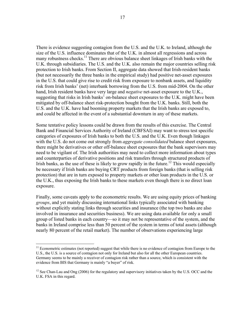There is evidence suggesting contagion from the U.S. and the U.K. to Ireland, although the size of the U.S. influence dominates that of the U.K. in almost all regressions and across many robustness checks.<sup>11</sup> There are obvious balance sheet linkages of Irish banks with the U.K. through subsidiaries. The U.S. and the U.K. also remain the major countries selling risk protection to Irish banks. From Section II, aggregate data showed that Irish-resident banks (but not necessarily the three banks in the empirical study) had positive net-asset exposures in the U.S. that could give rise to credit risk from exposure to nonbank assets, and liquidity risk from Irish banks' (net) interbank borrowing from the U.S. from mid-2004. On the other hand, Irish resident banks have very large and *negative* net-asset exposure to the U.K., suggesting that risks in Irish banks' on-balance sheet exposures to the U.K. might have been mitigated by off-balance sheet risk-protection bought from the U.K. banks. Still, both the U.S. and the U.K. have had booming property markets that the Irish banks are exposed to, and could be affected in the event of a substantial downturn in any of these markets.

Some tentative policy lessons could be drawn from the results of this exercise. The Central Bank and Financial Services Authority of Ireland (CBFSAI) may want to stress test specific categories of exposures of Irish banks to both the U.S. and the U.K. Even though linkages with the U.S. do not come out strongly from *aggregate consolidated* balance sheet exposures, there might be derivatives or other off-balance sheet exposures that the bank supervisors may need to be vigilant of. The Irish authorities may need to collect more information about types and counterparties of derivative positions and risk transfers through structured products of Irish banks, as the use of these is likely to grow rapidly in the future.<sup>12</sup> This would especially be necessary if Irish banks are buying CRT products from foreign banks (that is selling risk protection) that are in turn exposed to property markets or other loan products in the U.S. or the U.K., thus exposing the Irish banks to these markets even though there is no direct loan exposure.

Finally, some caveats apply to the econometric results. We are using equity prices of banking *groups*, and yet mainly discussing international links typically associated with banking without explicitly stating links through securities and insurance (the top two banks are also involved in insurance and securities business). We are using data available for only a small group of listed banks in each country—so it may not be representative of the system, and the banks in Ireland comprise less than 50 percent of the system in terms of total assets (although nearly 80 percent of the retail market). The number of observations experiencing large

 $\overline{a}$ 

 $11$  Econometric estimates (not reported) suggest that while there is no evidence of contagion from Europe to the U.S., the U.S. is a source of contagion not only for Ireland but also for all the other European countries. Germany seems to be mainly a receiver of contagion risk rather than a source, which is consistent with the evidence from BIS that Germany is mainly "a buyer" of risk.

 $12$  See Chan-Lau and Ong (2006) for the regulatory and supervisory initiatives taken by the U.S. OCC and the U.K. FSA in this regard.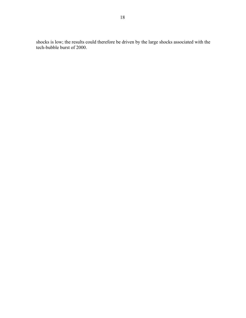shocks is low; the results could therefore be driven by the large shocks associated with the tech-bubble burst of 2000.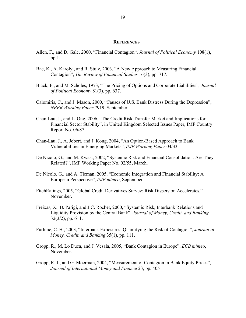#### **REFERENCES**

- Allen, F., and D. Gale, 2000, "Financial Contagion", *Journal of Political Economy* 108(1), pp.1.
- Bae, K., A. Karolyi, and R. Stulz, 2003, "A New Approach to Measuring Financial Contagion", *The Review of Financial Studies* 16(3), pp. 717.
- Black, F., and M. Scholes, 1973, "The Pricing of Options and Corporate Liabilities", *Journal of Political Economy* 81(3), pp. 637.
- Calomiris, C., and J. Mason, 2000, "Causes of U.S. Bank Distress During the Depression", *NBER Working Paper* 7919, September.
- Chan-Lau, J., and L. Ong, 2006, "The Credit Risk Transfer Market and Implications for Financial Sector Stability", in United Kingdom Selected Issues Paper, IMF Country Report No. 06/87.
- Chan-Lau, J., A. Jobert, and J. Kong, 2004, "An Option-Based Approach to Bank Vulnerabilities in Emerging Markets", *IMF Working Paper* 04/33.
- De Nicolo, G., and M. Kwast, 2002, "Systemic Risk and Financial Consolidation: Are They Related?", IMF Working Paper No. 02/55, March.
- De Nicolo, G., and A. Tieman, 2005, "Economic Integration and Financial Stability: A European Perspective", *IMF mimeo*, September.
- FitchRatings, 2005, "Global Credit Derivatives Survey: Risk Dispersion Accelerates," November.
- Freixas, X., B. Parigi, and J.C. Rochet, 2000, "Systemic Risk, Interbank Relations and Liquidity Provision by the Central Bank", *Journal of Money, Credit, and Banking* 32(3/2), pp. 611.
- Furhine, C. H., 2003, "Interbank Exposures: Quantifying the Risk of Contagion", *Journal of Money, Credit, and Banking* 35(1), pp. 111.
- Gropp, R., M. Lo Duca, and J. Vesala, 2005, "Bank Contagion in Europe", *ECB mimeo*, November.
- Gropp, R. J., and G. Moerman, 2004, "Measurement of Contagion in Bank Equity Prices", *Journal of International Money and Finance* 23, pp. 405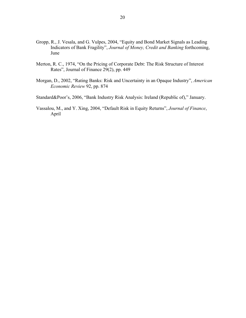- Gropp, R., J. Vesala, and G. Vulpes, 2004, "Equity and Bond Market Signals as Leading Indicators of Bank Fragility", *Journal of Money, Credit and Banking* forthcoming, June
- Merton, R. C., 1974, "On the Pricing of Corporate Debt: The Risk Structure of Interest Rates", Journal of Finance 29(2), pp. 449
- Morgan, D., 2002, "Rating Banks: Risk and Uncertainty in an Opaque Industry", *American Economic Review* 92, pp. 874
- Standard&Poor's, 2006, "Bank Industry Risk Analysis: Ireland (Republic of)," January.
- Vassalou, M., and Y. Xing, 2004, "Default Risk in Equity Returns", *Journal of Finance*, April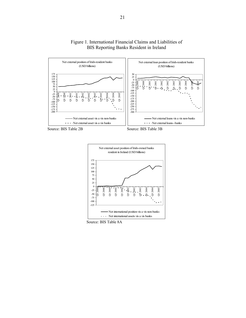

### Figure 1. International Financial Claims and Liabilities of BIS Reporting Banks Resident in Ireland

Source: BIS Table 2B Source: BIS Table 3B



Source: BIS Table 8A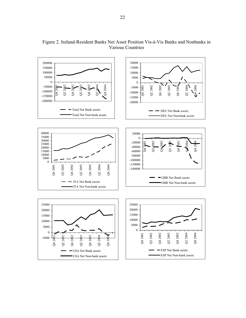

Figure 2. Ireland-Resident Banks Net Asset Position Vis-à-Vis Banks and Nonbanks in Various Countries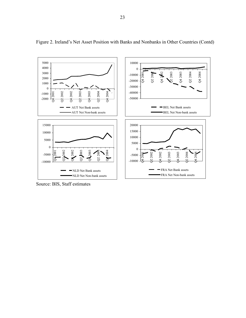

Figure 2. Ireland's Net Asset Position with Banks and Nonbanks in Other Countries (Contd)

Source: BIS, Staff estimates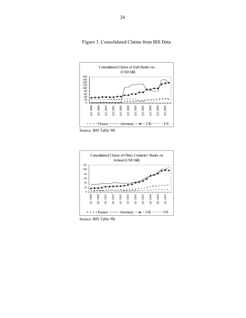

 $\cdots$  France ——Germany —— UK ---- US

Figure 3. Consolidated Claims from BIS Data

Source: BIS Table 9B



Source: BIS Table 9B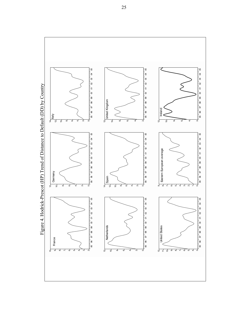

25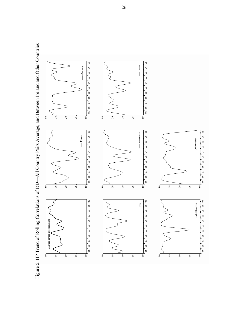

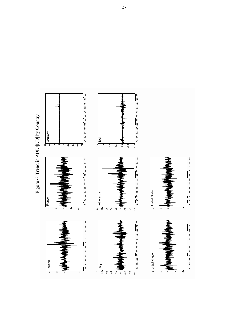

27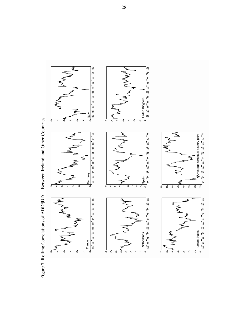

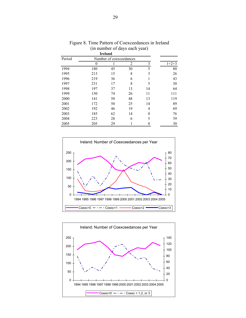|        |     | <b>Ireland</b>          |                |    |         |
|--------|-----|-------------------------|----------------|----|---------|
| Period |     | Number of coexceedances |                |    |         |
|        | 0   |                         | $\overline{2}$ | 3  | $1+2+3$ |
| 1994   | 180 | 45                      | 30             | 5  | 80      |
| 1995   | 213 | 15                      | 8              | 3  | 26      |
| 1996   | 219 | 36                      | 6              |    | 43      |
| 1997   | 231 | 17                      | 8              | 5  | 30      |
| 1998   | 197 | 37                      | 13             | 14 | 64      |
| 1999   | 150 | 74                      | 26             | 11 | 111     |
| 2000   | 141 | 58                      | 48             | 13 | 119     |
| 2001   | 172 | 50                      | 25             | 14 | 89      |
| 2002   | 192 | 46                      | 19             | 4  | 69      |
| 2003   | 185 | 62                      | 14             | 0  | 76      |
| 2004   | 223 | 28                      | 6              | 5  | 39      |
| 2005   | 205 | 29                      |                | 0  | 30      |

Figure 8. Time Pattern of Coexceedances in Ireland (in number of days each year)



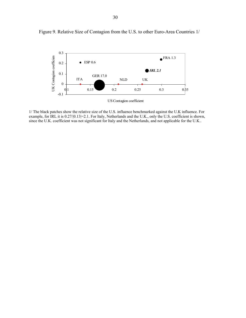

Figure 9. Relative Size of Contagion from the U.S. to other Euro-Area Countries 1/

1/ The black patches show the relative size of the U.S. influence benchmarked against the U.K influence. For example, for IRL it is 0.27/|0.13|=2.1. For Italy, Netherlands and the U.K., only the U.S. coefficient is shown, since the U.K. coefficient was not significant for Italy and the Netherlands, and not applicable for the U.K..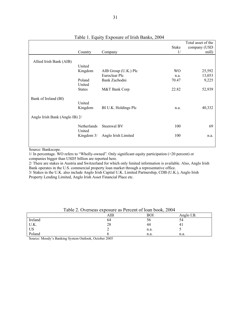|                                | Country                      | Company                | Stake<br>1/ | Total asset of the<br>company (USD<br>mill) |
|--------------------------------|------------------------------|------------------------|-------------|---------------------------------------------|
| Allied Irish Bank (AIB)        |                              |                        |             |                                             |
|                                | United                       |                        |             |                                             |
|                                | Kingdom                      | AIB Group $(U.K.)$ Plc | <b>WO</b>   | 25,592                                      |
|                                |                              | Euroclear Plc          | n.a.        | 13,053                                      |
|                                | Poland<br>United             | Bank Zachodni          | 70.47       | 9,225                                       |
|                                | <b>States</b>                | M&T Bank Corp          | 22.82       | 52,939                                      |
| Bank of Ireland (BI)           |                              |                        |             |                                             |
|                                | United<br>Kingdom            | BI U.K. Holdings Plc   | n.a.        | 40,332                                      |
| Anglo Irish Bank (Anglo IB) 2/ |                              |                        |             |                                             |
|                                | <b>Netherlands</b><br>United | Steenwal BV            | 100         | 69                                          |
|                                | Kingdom $3/$                 | Anglo Irish Limited    | 100         | n.a.                                        |
|                                |                              |                        |             |                                             |

#### Table 1. Equity Exposure of Irish Banks, 2004

Source: Bankscope.

1/ In percentage. WO refers to "Wholly-owned". Only significant equity participation (>20 percent) or companies bigger than USD5 billion are reported here.

2/ There are stakes in Austria and Switzerland for which only limited information is available. Also, Anglo Irish Bank operates in the U.S. commercial property loan market through a representative office.

3/ Stakes in the U.K. also include Anglo Irish Capital U.K. Limited Partnership, CDB (U.K.), Anglo Irish Property Lending Limited, Anglo Irish Asset Financial Place etc.

|           | AIB | BOI  | Anglo I.B.     |
|-----------|-----|------|----------------|
| Ireland   | 64  |      | 54             |
| U.K.      | 28  | 44   | 4 <sub>1</sub> |
| <b>US</b> |     | n.a. |                |
| Poland    |     | n.a. | n.a.           |

| Table 2. Overseas exposure as Percent of loan book, 2004 |  |  |  |
|----------------------------------------------------------|--|--|--|
|----------------------------------------------------------|--|--|--|

Source: Moody's Banking System Outlook, October 2005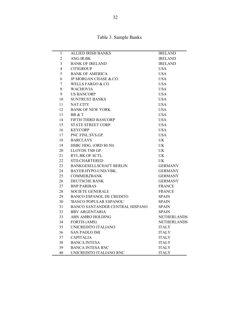|  | Table 3. Sample Banks |  |
|--|-----------------------|--|
|--|-----------------------|--|

| $\mathbf{1}$   | <b>ALLIED IRISH BANKS</b>       | <b>IRELAND</b> |
|----------------|---------------------------------|----------------|
| $\overline{2}$ | ANG.IR.BK                       | <b>IRELAND</b> |
| $\overline{3}$ | <b>BANK OF IRELAND</b>          | <b>IRELAND</b> |
| $\overline{4}$ | <b>CITIGROUP</b>                | <b>USA</b>     |
| 5              | <b>BANK OF AMERICA</b>          | <b>USA</b>     |
| 6              | JP MORGAN CHASE & CO.           | <b>USA</b>     |
| 7              | WELLS FARGO & CO                | <b>USA</b>     |
| 8              | <b>WACHOVIA</b>                 | <b>USA</b>     |
| 9              | <b>US BANCORP</b>               | <b>USA</b>     |
| 10             | <b>SUNTRUST BANKS</b>           | <b>USA</b>     |
| 11             | NAT.CITY                        | <b>USA</b>     |
| 12             | <b>BANK OF NEW YORK</b>         | <b>USA</b>     |
| 13             | BB & T                          | <b>USA</b>     |
| 14             | FIFTH THIRD BANCORP             | <b>USA</b>     |
| 15             | STATE STREET CORP.              | <b>USA</b>     |
| 16             | <b>KEYCORP</b>                  | <b>USA</b>     |
| 17             | PNC FINL.SVS.GP.                | <b>USA</b>     |
| 18             | <b>BARCLAYS</b>                 | <b>UK</b>      |
| 19             | HSBC HDG. (ORD \$0.50)          | UK.            |
| 20             | LLOYDS TSB GP.                  | UK             |
| 21             | RYL.BK.OF SCTL.                 | <b>UK</b>      |
| 22             | STD.CHARTERED                   | UK             |
| 23             | <b>BANKGESELLSCHAFT BERLIN</b>  | <b>GERMANY</b> |
| 24             | BAYER.HYPO-UND-VBK.             | <b>GERMANY</b> |
| 25             | <b>COMMERZBANK</b>              | <b>GERMANY</b> |
| 26             | <b>DEUTSCHE BANK</b>            | <b>GERMANY</b> |
| 27             | <b>BNP PARIBAS</b>              | <b>FRANCE</b>  |
| 28             | <b>SOCIETE GENERALE</b>         | <b>FRANCE</b>  |
| 29             | BANCO ESPANOL DE CREDITO        | <b>SPAIN</b>   |
| 30             | 'BANCO POPULAR ESPANOL'         | <b>SPAIN</b>   |
| 31             | BANCO SANTANDER CENTRAL HISPANO | <b>SPAIN</b>   |
| 32             | <b>BBV ARGENTARIA</b>           | <b>SPAIN</b>   |
| 33             | ABN AMRO HOLDING                | NETHERLANDS    |
| 34             | <b>FORTIS (AMS)</b>             | NETHERLANDS    |
| 35             | UNICREDITO ITALIANO             | <b>ITALY</b>   |
| 36             | <b>SAN PAOLO IMI</b>            | <b>ITALY</b>   |
| 37             | <b>CAPITALIA</b>                | <b>ITALY</b>   |
| 38             | <b>BANCA INTESA</b>             | <b>ITALY</b>   |
| 39             | <b>BANCA INTESA RNC</b>         | <b>ITALY</b>   |
| 40             | UNICREDITO ITALIANO RNC         | <b>ITALY</b>   |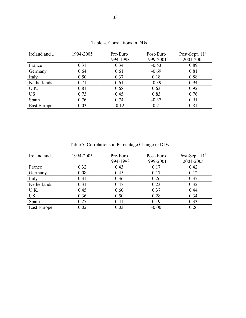| Ireland and | 1994-2005 | Pre-Euro<br>1994-1998 | Post-Euro<br>1999-2001 | Post-Sept. $11^{\text{th}}$<br>2001-2005 |
|-------------|-----------|-----------------------|------------------------|------------------------------------------|
| France      | 0.31      | 0.34                  | $-0.53$                | 0.89                                     |
| Germany     | 0.64      | 0.61                  | $-0.69$                | 0.81                                     |
| Italy       | 0.50      | 0.37                  | 0.18                   | 0.88                                     |
| Netherlands | 0.71      | 0.61                  | $-0.39$                | 0.94                                     |
| U.K.        | 0.81      | 0.68                  | 0.63                   | 0.92                                     |
| <b>US</b>   | 0.73      | 0.45                  | 0.83                   | 0.76                                     |
| Spain       | 0.76      | 0.74                  | $-0.37$                | 0.91                                     |
| East Europe | 0.03      | $-0.12$               | $-0.71$                | 0.81                                     |

Table 4. Correlations in DDs

Table 5. Correlations in Percentage Change in DDs

| Ireland and | 1994-2005 | Pre-Euro<br>1994-1998 | Post-Euro<br>1999-2001 | Post-Sept. $11^{th}$<br>2001-2005 |
|-------------|-----------|-----------------------|------------------------|-----------------------------------|
| France      | 0.32      | 0.43                  | 0.17                   | 0.42                              |
| Germany     | 0.08      | 0.45                  | 0.17                   | 0.12                              |
| Italy       | 0.31      | 0.36                  | 0.26                   | 0.37                              |
| Netherlands | 0.31      | 0.47                  | 0.23                   | 0.32                              |
| U.K.        | 0.45      | 0.60                  | 0.37                   | 0.44                              |
| <b>US</b>   | 0.36      | 0.50                  | 0.28                   | 0.34                              |
| Spain       | 0.27      | 0.41                  | 0.19                   | 0.33                              |
| East Europe | 0.02      | 0.03                  | $-0.00$                | 0.26                              |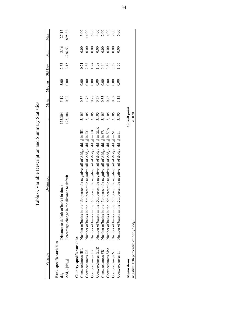| Variable                                                                  | Definition                                                                                 | $\mathbf{a}$  | Mean | Median | <b>Std Dev</b> | Мin       | Max    |
|---------------------------------------------------------------------------|--------------------------------------------------------------------------------------------|---------------|------|--------|----------------|-----------|--------|
| Bank-specific variables                                                   | Distance to default of bank i in time t                                                    | 123,304       | 5.19 | 5.00   | 2.33           | $-2.16$   | 27.17  |
| ತ್ರ                                                                       |                                                                                            |               |      |        |                |           |        |
| $\Delta \rm{d}_{\rm{d}_{\rm{t}}}/\left \rm{d}_{\rm{d}_{\rm{t-1}}}\right $ | the distance to default<br>Percentage change in                                            | 123,104       | 0.02 | 0.00   | 3.15           | $-236.53$ | 895.32 |
| Country-specific variables                                                |                                                                                            |               |      |        |                |           |        |
| Coexceedances IRL                                                         | Number of banks in the 15th percentile negative tail of $\Delta dd_{ii}/ dd_{ii} $ in IRL  | 3,105         | 0.36 | 0.00   | 0.71           | 0.00      | 3.00   |
| Coexceedances US                                                          | Number of banks in the 15th percentile negative tail of $\Delta dd_{ii}/ dd_{i+1} $ in US  | 3,105         | 1.76 | 0.00   | 2.88           | 0.00      | 14.00  |
| Coexceedances UK                                                          | Number of banks in the 15th percentile negative tail of $\Delta dd_{ii}/ dd_{i+1} $ in UK  | 3,105         | 0.78 | 0.00   | 1.24           | 0.00      | 5.00   |
| Coexceedances GER                                                         | Number of banks in the 15th percentile negative tail of $\Delta dd_{ii}/ dd_{ii}  $ in GER | 3,105         | 0.79 | 0.00   | 1.08           | 0.00      | 4.00   |
| Coexceedances FR                                                          | Number of banks in the 15th percentile negative tail of $\Delta dd_{ii}/ dd_{ii} $ in FR   | 3,105         | 0.33 | 0.00   | 0.64           | 0.00      | 2.00   |
| Coexceedances SPA                                                         | Number of banks in the 15th percentile negative tail of $\Delta dd_{ii}/ dd_{i}  $ in SPA  | 3,105         | 0.46 | 0.00   | 0.86           | 0.00      | 4.00   |
| Coexceedances NL                                                          | Number of banks in the 15th percentile negative tail of $\Delta dd_{ii}/ dd_{ii-1} $ in NL | 3,105         | 0.32 | 0.00   | 0.59           | 0.00      | 2.00   |
| Coexceedances IT                                                          | Number of banks in the 15th percentile negative tail of $\Delta dd_{ii}/ dd_{i+1} $ in IT  | 3,105         | 1.13 | 0.00   | 1.56           | 0.00      | 6.00   |
| Memo items                                                                |                                                                                            | Cut-off point |      |        |                |           |        |
| negative 15th percentile of $\Delta dd_{ii}/ dd_{i+1} $                   |                                                                                            | $-0.070$      |      |        |                |           |        |

Table 6. Variable Description and Summary Statistics Table 6. Variable Description and Summary Statistics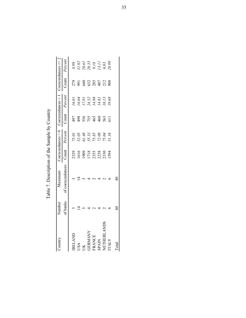|               | Number   | Maximur          |                                          | $\alpha$ bexceedances $= 0$                        | oexceedar     | $_{10}$ es $=$                                     |                              | $\frac{1}{2}$ oexceedances >=                           |
|---------------|----------|------------------|------------------------------------------|----------------------------------------------------|---------------|----------------------------------------------------|------------------------------|---------------------------------------------------------|
|               | of banks | of coexceedances | Count                                    | Percent                                            | Count         | Percent                                            | Count                        | Percent                                                 |
| RELAND        |          |                  |                                          |                                                    |               |                                                    |                              |                                                         |
|               |          |                  |                                          |                                                    |               |                                                    |                              |                                                         |
|               |          |                  | 2329<br>1616<br>1718<br>17353<br>2335394 | 75.01<br>52.05<br>52.33<br>53.38<br>52.34<br>53.34 | $78888898377$ | 16.01<br>16.04<br>17.32<br>14.81<br>19.68<br>19.68 | $279.787720$<br>$279.787720$ | 8.99<br>11.92<br>20.55<br>20.35<br>9.18<br>5.83<br>6.83 |
| <b>GERMAN</b> |          |                  |                                          |                                                    |               |                                                    |                              |                                                         |
| FRANCE        |          |                  |                                          |                                                    |               |                                                    |                              |                                                         |
| <b>SPAIN</b>  |          |                  |                                          |                                                    |               |                                                    |                              |                                                         |
| NETHERLAND'   |          |                  |                                          |                                                    |               |                                                    |                              |                                                         |
| <b>TALY</b>   |          |                  |                                          |                                                    |               |                                                    |                              |                                                         |
| $\cot$        |          |                  |                                          |                                                    |               |                                                    |                              |                                                         |

Table 7. Description of the Sample by Country Table 7. Description of the Sample by Country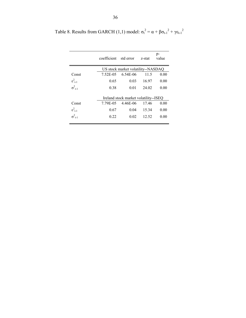|                    | coefficient | std error                             | z-stat | p-<br>value |
|--------------------|-------------|---------------------------------------|--------|-------------|
|                    |             | US stock market volatility--NASDAQ    |        |             |
| Const              | 7.52E-05    | 6.54E-06                              | 11.5   | 0.00        |
| $\epsilon^2_{t-1}$ | 0.65        | 0.03                                  | 16.97  | 0.00        |
| $\sigma^2_{t-1}$   | 0.38        | 0.01                                  | 24.02  | 0.00        |
|                    |             | Ireland stock market volatility--ISEQ |        |             |
| Const              | 7 79E-05    | 4.46E-06                              | 17.46  | 0.00        |
| $\epsilon^2_{t-1}$ | 0.67        | 0.04                                  | 15.34  | 0.00        |
| $\sigma^2_{t-1}$   | 0.22        | 0.02                                  | 12.52  | 0.00        |

Table 8. Results from GARCH (1,1) model:  $\sigma_t^2 = \alpha + \beta \sigma_{t-1}^2 + \gamma \epsilon_{t-1}^2$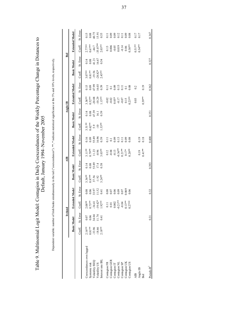| )<br>)<br>a ingnos in Ingnos<br>$\frac{1}{2}$<br>in minimizing a single to the contract of the second to the contract of the contract of the contract of the contract of the contract of the contract of the contract of the contract of the contract of the contract of the co<br>ة<br>Model: Contagion in Daily Coexceedances of the Weekly Percer<br>I all no continuation first the results<br>וו וויטוב<br><br>į | $\frac{1}{2}$<br>֧֚֚֚֚֚֚֚֚֚֚֚֚֚֚֚֚֚֡֝֝֝֝֬֝֬֝֬֝֬֝ <del>֛</del><br>・・・・・・・<br>$\ddot{\phantom{0}}$<br>٦<br>i<br>フリント きょうしゅう<br>$\sim$ $\mathcal{L}_{\text{max}}$ |
|-----------------------------------------------------------------------------------------------------------------------------------------------------------------------------------------------------------------------------------------------------------------------------------------------------------------------------------------------------------------------------------------------------------------------|----------------------------------------------------------------------------------------------------------------------------------------------------------------|
|-----------------------------------------------------------------------------------------------------------------------------------------------------------------------------------------------------------------------------------------------------------------------------------------------------------------------------------------------------------------------------------------------------------------------|----------------------------------------------------------------------------------------------------------------------------------------------------------------|

Dependent variable: number of Irish banks simultaneously in the tail ("coexceedances"). \*\*, \* indicate statistical significance at the 5% and 10% levels, respectively. Dependent variable: number of Irish banks simultaneously in the tail ("coexceedances"). \*\*, \* indicate statistical significance at the 5% and 10% levels, respectively.

|                                  |                                     | Ireland                  |                                               |                          |                                                       | <b>AIB</b>                                                           |                                                                        |                                             |                               | Anglo IB                        |                                                  |                                  |                                            | Bol                                                           |                                                                                  |                             |
|----------------------------------|-------------------------------------|--------------------------|-----------------------------------------------|--------------------------|-------------------------------------------------------|----------------------------------------------------------------------|------------------------------------------------------------------------|---------------------------------------------|-------------------------------|---------------------------------|--------------------------------------------------|----------------------------------|--------------------------------------------|---------------------------------------------------------------|----------------------------------------------------------------------------------|-----------------------------|
|                                  |                                     | <b>Basic Model</b>       |                                               | <b>Extended Model</b>    | <b>Basic Model</b>                                    |                                                                      | <b>Extended Model</b>                                                  |                                             |                               | <b>Basic Model</b>              |                                                  | <b>Extended Model</b>            | <b>Basic Model</b>                         |                                                               | <b>Extended Model</b>                                                            |                             |
|                                  | Coeff.                              | St. Error                | Coeff.                                        | St. Error                | Coeff.                                                | St. Error                                                            | Coeff.                                                                 | St. Error                                   | Coeff.                        | St. Error                       | Coeff.                                           | St. Error                        | Coeff.                                     | St. Error                                                     | Coeff.                                                                           | St. Error                   |
| Coexceedances own lagged         | $2.16***$                           | 0.07                     | $38**$                                        | 0.08                     |                                                       |                                                                      | $\frac{1}{2}$                                                          | 0.16                                        |                               |                                 | $3.36**$                                         | 0.15                             |                                            | 0.14                                                          |                                                                                  | 0.15                        |
|                                  |                                     |                          | $2.08**$<br>0.73**<br>-34.41<br>-19.42*       | 0.06                     | $3.36**$<br>$0.87**$<br>$37.56$<br>$-1.92$<br>$-1.92$ | $\begin{array}{c} 0.14 \\ 0.08 \\ 53.89 \\ 17.4 \\ 0.58 \end{array}$ |                                                                        |                                             | $3.51**$<br>$0.62**$<br>$5.9$ | $0.14$<br>0.08<br>47.39<br>16.1 | $.52**$<br>$.20.08$                              | 0.09                             | $3.07**$<br>0.81 **<br>-19.56<br>-18.82 ** |                                                               | $2.77**$<br>0.67**<br>-44.7                                                      |                             |
| Systemic risk<br>Volatility ISEQ |                                     |                          |                                               |                          |                                                       |                                                                      | $7.79**$<br>11.23<br>-0.96                                             | $0.09$<br>55.89<br>16.96                    |                               |                                 |                                                  |                                  |                                            |                                                               |                                                                                  |                             |
| Volatility US                    | 0.81**<br>-33.96<br>-18.66<br>-18** | $0.06$<br>34.04<br>11.74 | $-19.42*$<br>1.92**                           |                          |                                                       |                                                                      |                                                                        |                                             |                               |                                 |                                                  | 47.99<br>16.03                   |                                            | $\begin{array}{c} 0.08 \\ 41.21 \\ 16.67 \\ 0.54 \end{array}$ | $-35.07***$                                                                      | $0.08$<br>$0.75$<br>$15.91$ |
| Interest rate IRL                |                                     | 0.41                     |                                               | $33.97$<br>11.52<br>0.41 |                                                       |                                                                      | $3.03**$                                                               | 0.59                                        | $.53***$                      | 0.59                            | $10.29$<br>1.15**                                | 0.59                             |                                            |                                                               | $2.03**$                                                                         | 0.55                        |
| Contagion FR                     |                                     |                          |                                               |                          |                                                       |                                                                      |                                                                        | 0.11                                        |                               |                                 |                                                  |                                  |                                            |                                                               |                                                                                  |                             |
| Contagion GER                    |                                     |                          | 0.11<br>0.01<br>0.002<br>0.21 ** *<br>0.13 ** | 0.08                     |                                                       |                                                                      | 0.12<br>$-0.04$<br>$-0.13$<br>$-0.36**$<br>$-0.21**$<br>0.17*<br>0.17* |                                             |                               |                                 | $-0.02$<br>$-0.05$ $+0.17$<br>$-0.17$<br>$-0.17$ | Hue e dia dia 11<br>Hue e dia 11 |                                            |                                                               | $\begin{array}{c} 0.13 \\ 0.006 \\ -0.019 \\ 0.019 \\ -0.14 \\ 0.06 \end{array}$ | 1188211888                  |
| Contagion IT                     |                                     |                          |                                               | 0.06                     |                                                       |                                                                      |                                                                        | $\frac{1}{0.09}$                            |                               |                                 |                                                  |                                  |                                            |                                                               |                                                                                  |                             |
| Contagion NL                     |                                     |                          |                                               | 0.09                     |                                                       |                                                                      |                                                                        |                                             |                               |                                 |                                                  |                                  |                                            |                                                               |                                                                                  |                             |
| Contagion SP                     |                                     |                          |                                               | 0.07                     |                                                       |                                                                      |                                                                        | $\begin{array}{c} 0.13 \\ 0.09 \end{array}$ |                               |                                 |                                                  |                                  |                                            |                                                               |                                                                                  |                             |
| Contagion UK                     |                                     |                          |                                               | 0.069                    |                                                       |                                                                      |                                                                        |                                             |                               |                                 | 0.15                                             |                                  |                                            |                                                               |                                                                                  |                             |
| Contagion US                     |                                     |                          | $0.27**$                                      | 0.06                     |                                                       |                                                                      |                                                                        | 0.08                                        |                               |                                 | $0.23**$                                         | 0.08                             |                                            |                                                               | $0.38**$                                                                         |                             |
| <b>AIB</b>                       |                                     |                          |                                               |                          |                                                       |                                                                      |                                                                        |                                             |                               |                                 | 0.03                                             | 0.2                              |                                            |                                                               | $0.51**$                                                                         | 0.17                        |
| Anglo IB                         |                                     |                          |                                               |                          |                                                       |                                                                      | 0.19                                                                   | 0.19                                        |                               |                                 |                                                  |                                  |                                            |                                                               | $0.34***$                                                                        | 0.17                        |
| Bol                              |                                     |                          |                                               |                          |                                                       |                                                                      | $0.41***$                                                              | 0.18                                        |                               |                                 | $0.39**$                                         | 0.19                             |                                            |                                                               |                                                                                  |                             |
| $Pseudo-R2$                      |                                     | 0.31                     |                                               | 0.32                     |                                                       | 0.393                                                                |                                                                        | 0.408                                       |                               | 0.351                           |                                                  | 0.362                            |                                            | 0.327                                                         |                                                                                  | 0.347                       |